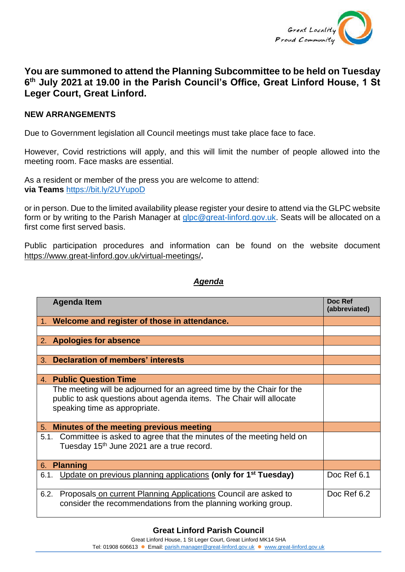

## **You are summoned to attend the Planning Subcommittee to be held on Tuesday 6 th July 2021 at 19.00 in the Parish Council's Office, Great Linford House, 1 St Leger Court, Great Linford.**

## **NEW ARRANGEMENTS**

Due to Government legislation all Council meetings must take place face to face.

However, Covid restrictions will apply, and this will limit the number of people allowed into the meeting room. Face masks are essential.

As a resident or member of the press you are welcome to attend: **via Teams** <https://bit.ly/2UYupoD>

or in person. Due to the limited availability please register your desire to attend via the GLPC website form or by writing to the Parish Manager at [glpc@great-linford.gov.uk.](mailto:glpc@great-linford.gov.uk) Seats will be allocated on a first come first served basis.

Public participation procedures and information can be found on the website document <https://www.great-linford.gov.uk/virtual-meetings/>**.**

## *Agenda*

| <b>Agenda Item</b>                                                                                                                                                            | Doc Ref<br>(abbreviated) |
|-------------------------------------------------------------------------------------------------------------------------------------------------------------------------------|--------------------------|
| 1. Welcome and register of those in attendance.                                                                                                                               |                          |
|                                                                                                                                                                               |                          |
| 2. Apologies for absence                                                                                                                                                      |                          |
|                                                                                                                                                                               |                          |
| <b>Declaration of members' interests</b><br>3 <sub>1</sub>                                                                                                                    |                          |
|                                                                                                                                                                               |                          |
| <b>Public Question Time</b><br>4.                                                                                                                                             |                          |
| The meeting will be adjourned for an agreed time by the Chair for the<br>public to ask questions about agenda items. The Chair will allocate<br>speaking time as appropriate. |                          |
| Minutes of the meeting previous meeting<br>5.                                                                                                                                 |                          |
| Committee is asked to agree that the minutes of the meeting held on<br>5.1.<br>Tuesday 15 <sup>th</sup> June 2021 are a true record.                                          |                          |
| <b>Planning</b><br>6.                                                                                                                                                         |                          |
| Update on previous planning applications (only for 1 <sup>st</sup> Tuesday)<br>6.1.                                                                                           | Doc Ref 6.1              |
| Proposals on current Planning Applications Council are asked to<br>6.2.<br>consider the recommendations from the planning working group.                                      | Doc Ref 6.2              |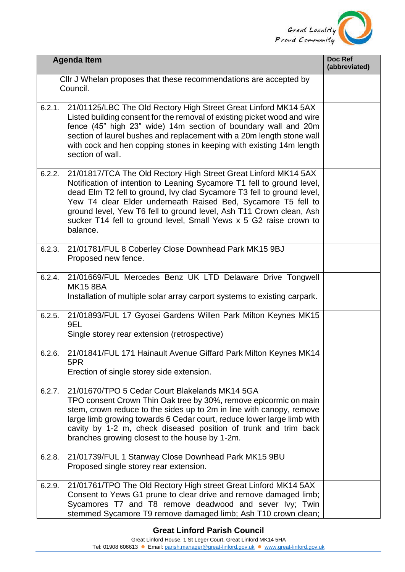

|        | <b>Agenda Item</b>                                                                                                                                                                                                                                                                                                                                                                                                                           | Doc Ref<br>(abbreviated) |
|--------|----------------------------------------------------------------------------------------------------------------------------------------------------------------------------------------------------------------------------------------------------------------------------------------------------------------------------------------------------------------------------------------------------------------------------------------------|--------------------------|
|        | CIIr J Whelan proposes that these recommendations are accepted by<br>Council.                                                                                                                                                                                                                                                                                                                                                                |                          |
| 6.2.1. | 21/01125/LBC The Old Rectory High Street Great Linford MK14 5AX<br>Listed building consent for the removal of existing picket wood and wire<br>fence (45" high 23" wide) 14m section of boundary wall and 20m<br>section of laurel bushes and replacement with a 20m length stone wall<br>with cock and hen copping stones in keeping with existing 14m length<br>section of wall.                                                           |                          |
| 6.2.2. | 21/01817/TCA The Old Rectory High Street Great Linford MK14 5AX<br>Notification of intention to Leaning Sycamore T1 fell to ground level,<br>dead Elm T2 fell to ground, Ivy clad Sycamore T3 fell to ground level,<br>Yew T4 clear Elder underneath Raised Bed, Sycamore T5 fell to<br>ground level, Yew T6 fell to ground level, Ash T11 Crown clean, Ash<br>sucker T14 fell to ground level, Small Yews x 5 G2 raise crown to<br>balance. |                          |
| 6.2.3. | 21/01781/FUL 8 Coberley Close Downhead Park MK15 9BJ<br>Proposed new fence.                                                                                                                                                                                                                                                                                                                                                                  |                          |
| 6.2.4. | 21/01669/FUL Mercedes Benz UK LTD Delaware Drive Tongwell<br><b>MK15 8BA</b><br>Installation of multiple solar array carport systems to existing carpark.                                                                                                                                                                                                                                                                                    |                          |
| 6.2.5. | 21/01893/FUL 17 Gyosei Gardens Willen Park Milton Keynes MK15<br>9EL<br>Single storey rear extension (retrospective)                                                                                                                                                                                                                                                                                                                         |                          |
| 6.2.6. | 21/01841/FUL 171 Hainault Avenue Giffard Park Milton Keynes MK14<br>5PR<br>Erection of single storey side extension.                                                                                                                                                                                                                                                                                                                         |                          |
| 6.2.7. | 21/01670/TPO 5 Cedar Court Blakelands MK14 5GA<br>TPO consent Crown Thin Oak tree by 30%, remove epicormic on main<br>stem, crown reduce to the sides up to 2m in line with canopy, remove<br>large limb growing towards 6 Cedar court, reduce lower large limb with<br>cavity by 1-2 m, check diseased position of trunk and trim back<br>branches growing closest to the house by 1-2m.                                                    |                          |
| 6.2.8. | 21/01739/FUL 1 Stanway Close Downhead Park MK15 9BU<br>Proposed single storey rear extension.                                                                                                                                                                                                                                                                                                                                                |                          |
| 6.2.9. | 21/01761/TPO The Old Rectory High street Great Linford MK14 5AX<br>Consent to Yews G1 prune to clear drive and remove damaged limb;<br>Sycamores T7 and T8 remove deadwood and sever Ivy; Twin<br>stemmed Sycamore T9 remove damaged limb; Ash T10 crown clean;                                                                                                                                                                              |                          |